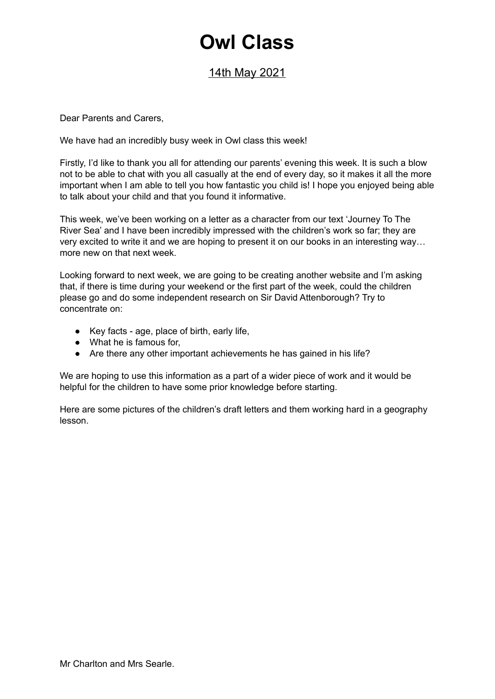## **Owl Class**

## 14th May 2021

Dear Parents and Carers,

We have had an incredibly busy week in Owl class this week!

Firstly, I'd like to thank you all for attending our parents' evening this week. It is such a blow not to be able to chat with you all casually at the end of every day, so it makes it all the more important when I am able to tell you how fantastic you child is! I hope you enjoyed being able to talk about your child and that you found it informative.

This week, we've been working on a letter as a character from our text 'Journey To The River Sea' and I have been incredibly impressed with the children's work so far; they are very excited to write it and we are hoping to present it on our books in an interesting way… more new on that next week.

Looking forward to next week, we are going to be creating another website and I'm asking that, if there is time during your weekend or the first part of the week, could the children please go and do some independent research on Sir David Attenborough? Try to concentrate on:

- Key facts age, place of birth, early life,
- What he is famous for,
- Are there any other important achievements he has gained in his life?

We are hoping to use this information as a part of a wider piece of work and it would be helpful for the children to have some prior knowledge before starting.

Here are some pictures of the children's draft letters and them working hard in a geography lesson.